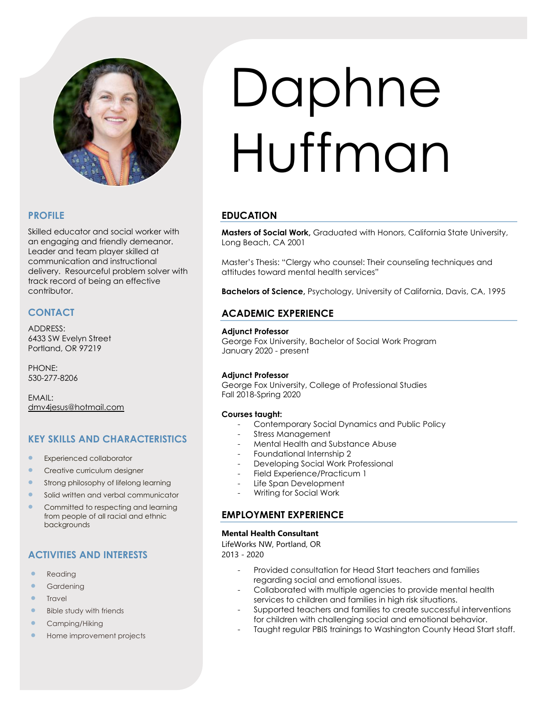

# **PROFILE**

Skilled educator and social worker with an engaging and friendly demeanor. Leader and team player skilled at communication and instructional delivery. Resourceful problem solver with track record of being an effective contributor.

# **CONTACT**

ADDRESS: 6433 SW Evelyn Street Portland, OR 97219

PHONE: 530-277-8206

EMAIL: [dmv4jesus@hotmail.com](mailto:dmv4jesus@hotmail.com)

# **KEY SKILLS AND CHARACTERISTICS**

- **•** Experienced collaborator
- **•** Creative curriculum designer
- Strong philosophy of lifelong learning
- Solid written and verbal communicator
- Committed to respecting and learning from people of all racial and ethnic backgrounds

# **ACTIVITIES AND INTERESTS**

- **Reading**
- **Gardening**
- **Travel**
- Bible study with friends
- Camping/Hiking
- Home improvement projects

# Daphne Huffman

# **EDUCATION**

**Masters of Social Work,** Graduated with Honors, California State University, Long Beach, CA 2001

Master's Thesis: "Clergy who counsel: Their counseling techniques and attitudes toward mental health services"

**Bachelors of Science,** Psychology, University of California, Davis, CA, 1995

# **ACADEMIC EXPERIENCE**

## **Adjunct Professor**

George Fox University, Bachelor of Social Work Program January 2020 - present

## **Adjunct Professor**

George Fox University, College of Professional Studies Fall 2018-Spring 2020

## **Courses taught:**

- Contemporary Social Dynamics and Public Policy
- Stress Management
- Mental Health and Substance Abuse
- Foundational Internship 2
- Developing Social Work Professional
- Field Experience/Practicum 1
- Life Span Development
- Writing for Social Work

# **EMPLOYMENT EXPERIENCE**

## **Mental Health Consultant**

LifeWorks NW, Portland, OR 2013 - 2020

- Provided consultation for Head Start teachers and families regarding social and emotional issues.
- Collaborated with multiple agencies to provide mental health services to children and families in high risk situations.
- Supported teachers and families to create successful interventions for children with challenging social and emotional behavior.
- Taught regular PBIS trainings to Washington County Head Start staff.